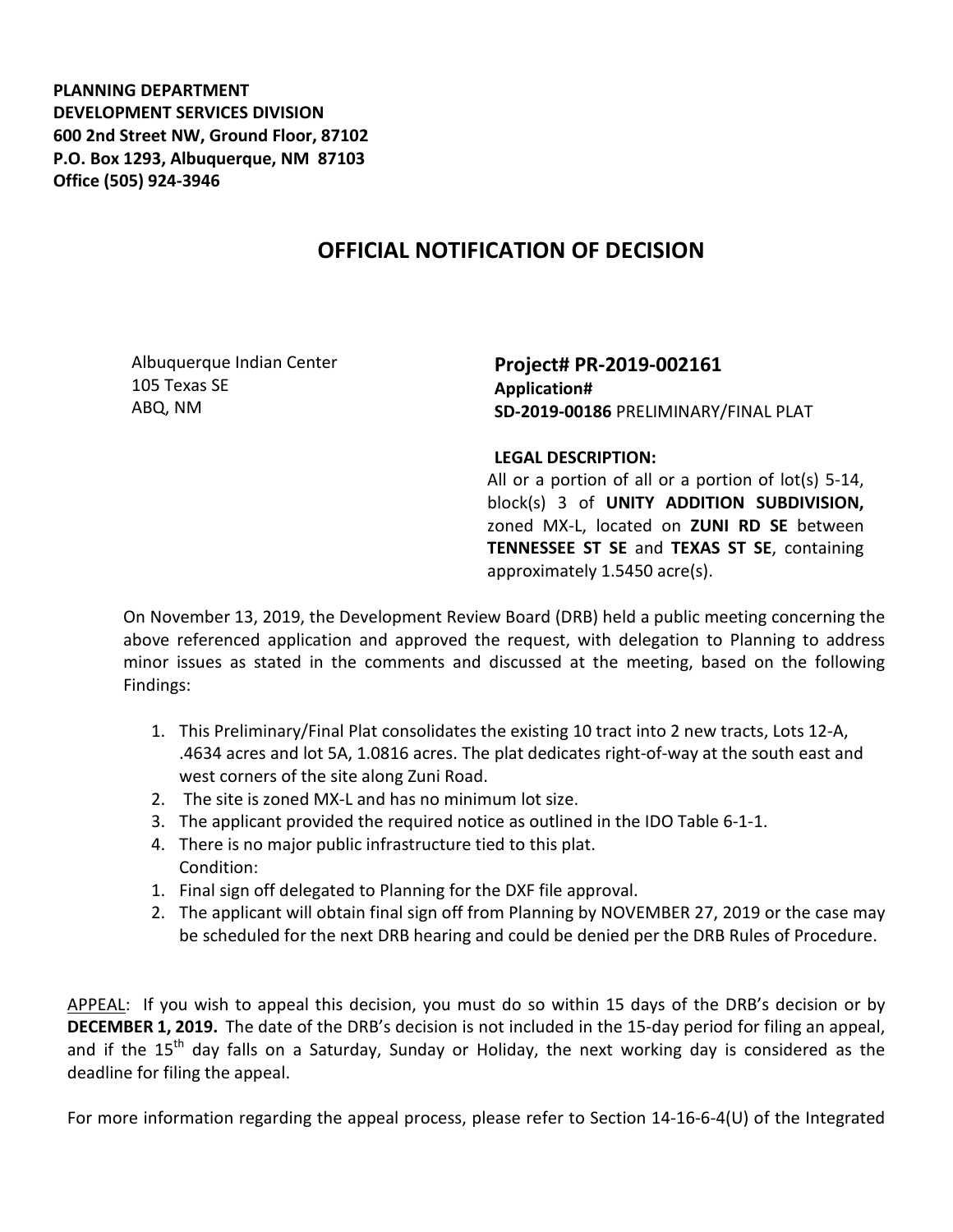**PLANNING DEPARTMENT DEVELOPMENT SERVICES DIVISION 600 2nd Street NW, Ground Floor, 87102 P.O. Box 1293, Albuquerque, NM 87103 Office (505) 924-3946** 

## **OFFICIAL NOTIFICATION OF DECISION**

Albuquerque Indian Center 105 Texas SE ABQ, NM

**Project# PR-2019-002161 Application# SD-2019-00186** PRELIMINARY/FINAL PLAT

## **LEGAL DESCRIPTION:**

All or a portion of all or a portion of lot(s) 5-14, block(s) 3 of **UNITY ADDITION SUBDIVISION,**  zoned MX-L, located on **ZUNI RD SE** between **TENNESSEE ST SE** and **TEXAS ST SE**, containing approximately 1.5450 acre(s).

On November 13, 2019, the Development Review Board (DRB) held a public meeting concerning the above referenced application and approved the request, with delegation to Planning to address minor issues as stated in the comments and discussed at the meeting, based on the following Findings:

- 1. This Preliminary/Final Plat consolidates the existing 10 tract into 2 new tracts, Lots 12-A, .4634 acres and lot 5A, 1.0816 acres. The plat dedicates right-of-way at the south east and west corners of the site along Zuni Road.
- 2. The site is zoned MX-L and has no minimum lot size.
- 3. The applicant provided the required notice as outlined in the IDO Table 6-1-1.
- 4. There is no major public infrastructure tied to this plat. Condition:
- 1. Final sign off delegated to Planning for the DXF file approval.
- 2. The applicant will obtain final sign off from Planning by NOVEMBER 27, 2019 or the case may be scheduled for the next DRB hearing and could be denied per the DRB Rules of Procedure.

APPEAL: If you wish to appeal this decision, you must do so within 15 days of the DRB's decision or by **DECEMBER 1, 2019.** The date of the DRB's decision is not included in the 15-day period for filing an appeal, and if the  $15<sup>th</sup>$  day falls on a Saturday, Sunday or Holiday, the next working day is considered as the deadline for filing the appeal.

For more information regarding the appeal process, please refer to Section 14-16-6-4(U) of the Integrated